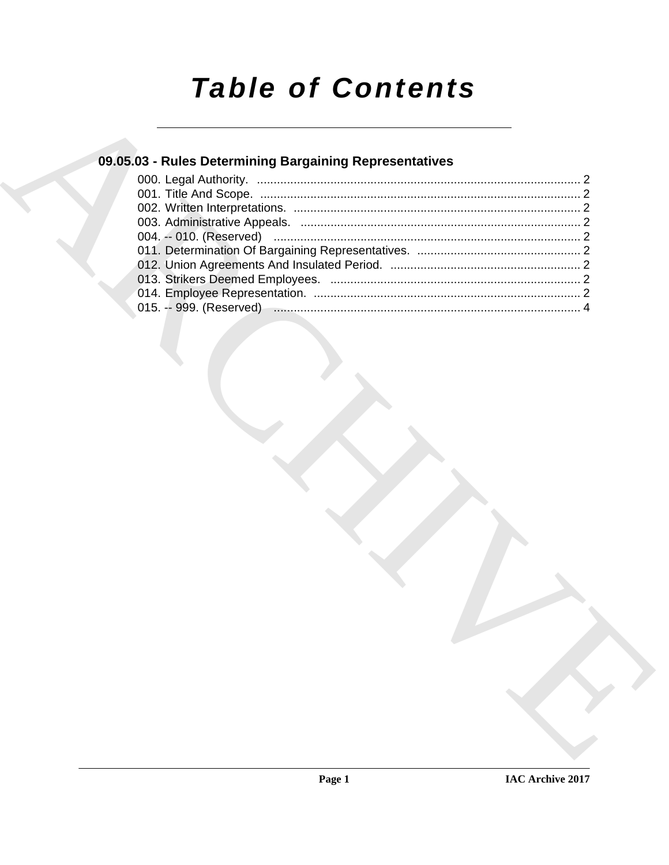# **Table of Contents**

# 09.05.03 - Rules Determining Bargaining Representatives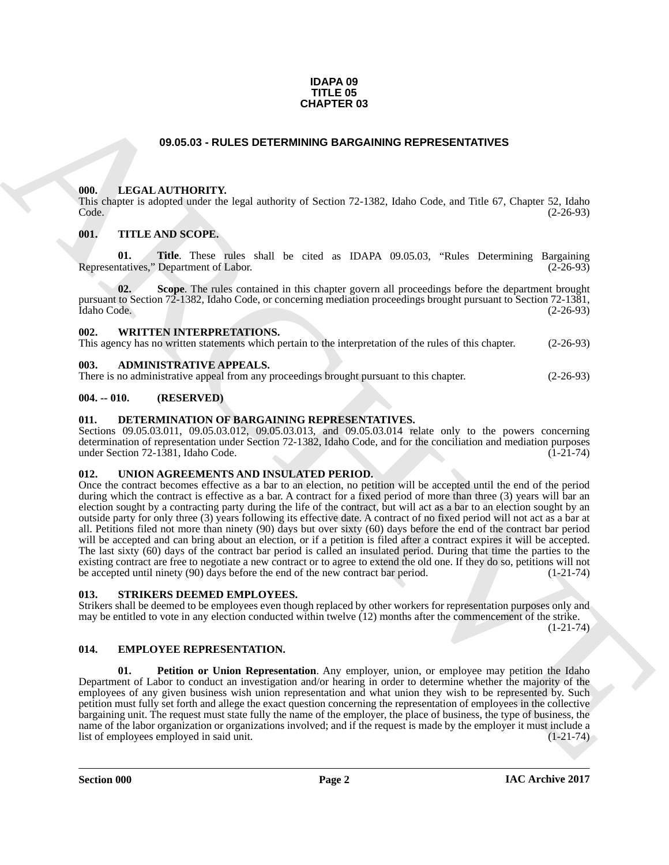#### **IDAPA 09 TITLE 05 CHAPTER 03**

#### **09.05.03 - RULES DETERMINING BARGAINING REPRESENTATIVES**

#### <span id="page-1-1"></span><span id="page-1-0"></span>**000. LEGAL AUTHORITY.**

This chapter is adopted under the legal authority of Section 72-1382, Idaho Code, and Title 67, Chapter 52, Idaho Code. (2-26-93)

#### <span id="page-1-2"></span>**001. TITLE AND SCOPE.**

**01. Title**. These rules shall be cited as IDAPA 09.05.03, "Rules Determining Bargaining Representatives," Department of Labor. (2-26-93)

**02. Scope**. The rules contained in this chapter govern all proceedings before the department brought pursuant to Section 72-1382, Idaho Code, or concerning mediation proceedings brought pursuant to Section 72-1381, Idaho Code. (2-26-93)

#### <span id="page-1-3"></span>**002. WRITTEN INTERPRETATIONS.**

This agency has no written statements which pertain to the interpretation of the rules of this chapter. (2-26-93)

#### <span id="page-1-4"></span>**003. ADMINISTRATIVE APPEALS.**

There is no administrative appeal from any proceedings brought pursuant to this chapter. (2-26-93)

#### <span id="page-1-5"></span>**004. -- 010. (RESERVED)**

#### <span id="page-1-10"></span><span id="page-1-6"></span>**011. DETERMINATION OF BARGAINING REPRESENTATIVES.**

Sections 09.05.03.011, 09.05.03.012, 09.05.03.013, and 09.05.03.014 relate only to the powers concerning determination of representation under Section 72-1382, Idaho Code, and for the conciliation and mediation purposes under Section 72-1381, Idaho Code. (1-21-74)

#### <span id="page-1-13"></span><span id="page-1-7"></span>**012. UNION AGREEMENTS AND INSULATED PERIOD.**

**CHAPTER 03**<br> **CHAPTER 103**<br> **CHAPTER CONTROLLADORED CONTROLLADORED CONTROLLADORED CONTROLLADORED CONTROLLADORED CONTROLLADORED CONTROLLADORED CONTROLLADORED CONTROLLADORED CONTROLLADORED CONTROLLADORED CONTROLLADORED CON** Once the contract becomes effective as a bar to an election, no petition will be accepted until the end of the period during which the contract is effective as a bar. A contract for a fixed period of more than three (3) years will bar an election sought by a contracting party during the life of the contract, but will act as a bar to an election sought by an outside party for only three (3) years following its effective date. A contract of no fixed period will not act as a bar at all. Petitions filed not more than ninety (90) days but over sixty (60) days before the end of the contract bar period will be accepted and can bring about an election, or if a petition is filed after a contract expires it will be accepted. The last sixty (60) days of the contract bar period is called an insulated period. During that time the parties to the existing contract are free to negotiate a new contract or to agree to extend the old one. If they do so, petitions will not be accepted until ninety (90) days before the end of the new contract bar period. (1-21-74)

#### <span id="page-1-12"></span><span id="page-1-8"></span>**013. STRIKERS DEEMED EMPLOYEES.**

Strikers shall be deemed to be employees even though replaced by other workers for representation purposes only and may be entitled to vote in any election conducted within twelve (12) months after the commencement of the strike.

 $(1-21-74)$ 

#### <span id="page-1-9"></span>**014. EMPLOYEE REPRESENTATION.**

<span id="page-1-11"></span>**01. Petition or Union Representation**. Any employer, union, or employee may petition the Idaho Department of Labor to conduct an investigation and/or hearing in order to determine whether the majority of the employees of any given business wish union representation and what union they wish to be represented by. Such petition must fully set forth and allege the exact question concerning the representation of employees in the collective bargaining unit. The request must state fully the name of the employer, the place of business, the type of business, the name of the labor organization or organizations involved; and if the request is made by the employer it must include a list of employees employed in said unit. (1-21-74)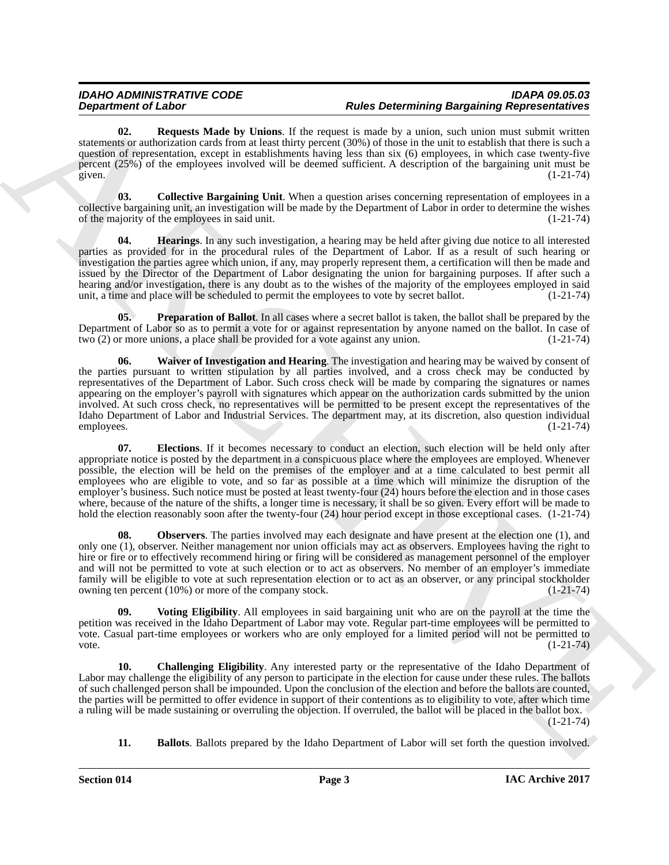<span id="page-2-7"></span>**02. Requests Made by Unions**. If the request is made by a union, such union must submit written statements or authorization cards from at least thirty percent (30%) of those in the unit to establish that there is such a question of representation, except in establishments having less than six (6) employees, in which case twenty-five percent (25%) of the employees involved will be deemed sufficient. A description of the bargaining unit must be given. (1-21-74) given.  $(1-21-74)$ 

<span id="page-2-2"></span>**03. Collective Bargaining Unit**. When a question arises concerning representation of employees in a collective bargaining unit, an investigation will be made by the Department of Labor in order to determine the wishes of the majority of the employees in said unit. (1-21-74)

<span id="page-2-4"></span>**04. Hearings**. In any such investigation, a hearing may be held after giving due notice to all interested parties as provided for in the procedural rules of the Department of Labor. If as a result of such hearing or investigation the parties agree which union, if any, may properly represent them, a certification will then be made and issued by the Director of the Department of Labor designating the union for bargaining purposes. If after such a hearing and/or investigation, there is any doubt as to the wishes of the majority of the employees employed in said unit, a time and place will be scheduled to permit the employees to vote by secret ballot. (1-21-74)

<span id="page-2-9"></span><span id="page-2-6"></span>**05. Preparation of Ballot**. In all cases where a secret ballot is taken, the ballot shall be prepared by the Department of Labor so as to permit a vote for or against representation by anyone named on the ballot. In case of two (2) or more unions, a place shall be provided for a vote against any union. (1-21-74)

**Department of Likence Theorem State by Luisse Specific systems of the main state of the main state of the main state of the main state of the main state and the main state of the main state and the main state of the main 06. Waiver of Investigation and Hearing**. The investigation and hearing may be waived by consent of the parties pursuant to written stipulation by all parties involved, and a cross check may be conducted by representatives of the Department of Labor. Such cross check will be made by comparing the signatures or names appearing on the employer's payroll with signatures which appear on the authorization cards submitted by the union involved. At such cross check, no representatives will be permitted to be present except the representatives of the Idaho Department of Labor and Industrial Services. The department may, at its discretion, also question individual employees. (1-21-74) employees. (1-21-74)

<span id="page-2-3"></span>**07. Elections**. If it becomes necessary to conduct an election, such election will be held only after appropriate notice is posted by the department in a conspicuous place where the employees are employed. Whenever possible, the election will be held on the premises of the employer and at a time calculated to best permit all employees who are eligible to vote, and so far as possible at a time which will minimize the disruption of the employer's business. Such notice must be posted at least twenty-four (24) hours before the election and in those cases where, because of the nature of the shifts, a longer time is necessary, it shall be so given. Every effort will be made to hold the election reasonably soon after the twenty-four (24) hour period except in those exceptional cases. (1-21-74)

<span id="page-2-5"></span>**08. Observers**. The parties involved may each designate and have present at the election one (1), and only one (1), observer. Neither management nor union officials may act as observers. Employees having the right to hire or fire or to effectively recommend hiring or firing will be considered as management personnel of the employer and will not be permitted to vote at such election or to act as observers. No member of an employer's immediate family will be eligible to vote at such representation election or to act as an observer, or any principal stockholder owning ten percent (10%) or more of the company stock. (1-21-74)

<span id="page-2-8"></span>**09. Voting Eligibility**. All employees in said bargaining unit who are on the payroll at the time the petition was received in the Idaho Department of Labor may vote. Regular part-time employees will be permitted to vote. Casual part-time employees or workers who are only employed for a limited period will not be permitted to vote.  $(1-21-74)$ 

<span id="page-2-1"></span>**10. Challenging Eligibility**. Any interested party or the representative of the Idaho Department of Labor may challenge the eligibility of any person to participate in the election for cause under these rules. The ballots of such challenged person shall be impounded. Upon the conclusion of the election and before the ballots are counted, the parties will be permitted to offer evidence in support of their contentions as to eligibility to vote, after which time a ruling will be made sustaining or overruling the objection. If overruled, the ballot will be placed in the ballot box. (1-21-74)

<span id="page-2-0"></span>**11. Ballots**. Ballots prepared by the Idaho Department of Labor will set forth the question involved.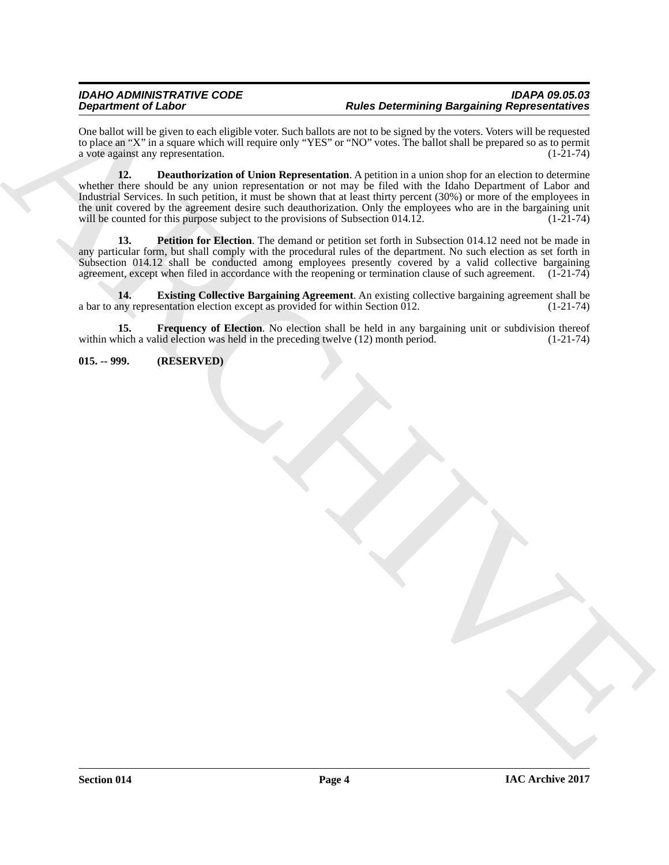#### *IDAHO ADMINISTRATIVE CODE IDAPA 09.05.03 Rules Determining Bargaining Representatives*

<span id="page-3-1"></span>One ballot will be given to each eligible voter. Such ballots are not to be signed by the voters. Voters will be requested to place an "X" in a square which will require only "YES" or "NO" votes. The ballot shall be prepared so as to permit<br>a vote against any representation. (1-21-74) a vote against any representation.

**Experiment of Laboratory and School School and School School School and School School School and School School School School School School School School School School School School School School School School School Scho 12. Deauthorization of Union Representation**. A petition in a union shop for an election to determine whether there should be any union representation or not may be filed with the Idaho Department of Labor and Industrial Services. In such petition, it must be shown that at least thirty percent (30%) or more of the employees in the unit covered by the agreement desire such deauthorization. Only the employees who are in the bargaining unit will be counted for this purpose subject to the provisions of Subsection 014.12. (1-21-74)

<span id="page-3-4"></span>**13. Petition for Election**. The demand or petition set forth in Subsection 014.12 need not be made in any particular form, but shall comply with the procedural rules of the department. No such election as set forth in Subsection 014.12 shall be conducted among employees presently covered by a valid collective bargaining agreement, except when filed in accordance with the reopening or termination clause of such agreement. (1-21-74)

<span id="page-3-2"></span>**14. Existing Collective Bargaining Agreement**. An existing collective bargaining agreement shall be any representation election except as provided for within Section 012. (1-21-74) a bar to any representation election except as provided for within Section  $\overline{01}2$ .

<span id="page-3-3"></span>**15. Frequency of Election**. No election shall be held in any bargaining unit or subdivision thereof hich a valid election was held in the preceding twelve (12) month period. (1-21-74) within which a valid election was held in the preceding twelve  $(12)$  month period.

### <span id="page-3-0"></span>**015. -- 999. (RESERVED)**